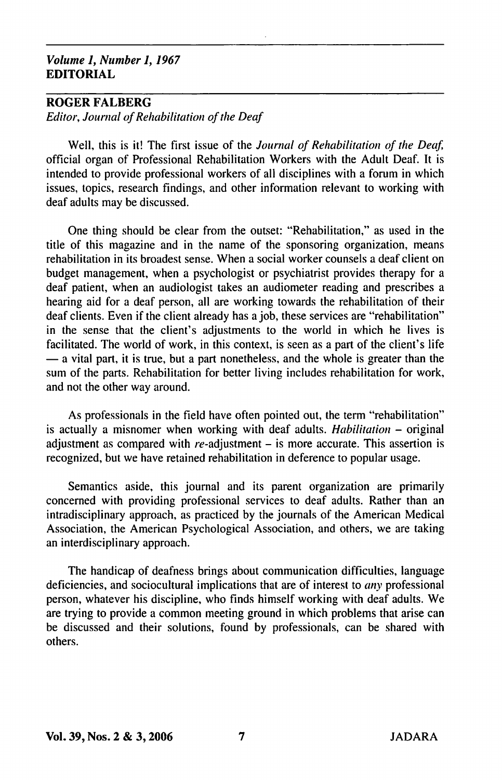## Volume 1, Number /, 1967 EDITORIAL

## ROGER FALBERG

Editor, Journal of Rehabilitation of the Deaf

Well, this is it! The first issue of the Journal of Rehabilitation of the Deaf, official organ of Professional Rehabilitation Workers with the Adult Deaf. It is intended to provide professional workers of all disciplines with a forum in which issues, topics, research findings, and other information relevant to working with deaf adults may be discussed.

One thing should be clear from the outset: "Rehabilitation," as used in the title of this magazine and in the name of the sponsoring organization, means rehabilitation in its broadest sense. When a social worker counsels a deaf client on budget management, when a psychologist or psychiatrist provides therapy for a deaf patient, when an audiologist takes an audiometer reading and prescribes a hearing aid for a deaf person, all are working towards the rehabilitation of their deaf clients. Even if the client already has a job, these services are "rehabilitation" in the sense that the client's adjustments to the world in which he lives is facilitated. The world of work, in this context, is seen as a part of the client's life — a vital part, it is true, but a part nonetheless, and the whole is greater than the sum of the parts. Rehabilitation for better living includes rehabilitation for work, and not the other way around.

As professionals in the field have often pointed out, the term "rehabilitation" is actually a misnomer when working with deaf adults. Habilitation - original adjustment as compared with  $re$ -adjustment  $-$  is more accurate. This assertion is recognized, but we have retained rehabilitation in deference to popular usage.

Semantics aside, this journal and its parent organization are primarily concerned with providing professional services to deaf adults. Rather than an intradisciplinary approach, as practiced by the journals of the American Medical Association, the American Psychological Association, and others, we are taking an interdisciplinary approach.

The handicap of deafness brings about communication difficulties, language deficiencies, and sociocultural implications that are of interest to any professional person, whatever his discipline, who finds himself working with deaf adults. We are trying to provide a common meeting ground in which problems that arise can be discussed and their solutions, found by professionals, can be shared with others.